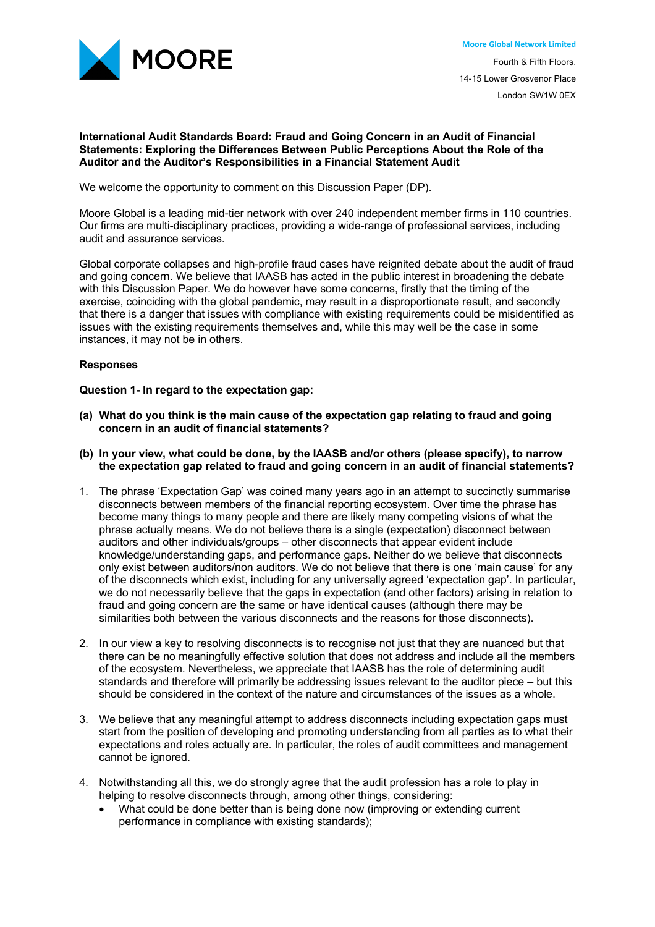

# **International Audit Standards Board: Fraud and Going Concern in an Audit of Financial Statements: Exploring the Differences Between Public Perceptions About the Role of the Auditor and the Auditor's Responsibilities in a Financial Statement Audit**

We welcome the opportunity to comment on this Discussion Paper (DP).

Moore Global is a leading mid-tier network with over 240 independent member firms in 110 countries. Our firms are multi-disciplinary practices, providing a wide-range of professional services, including audit and assurance services.

Global corporate collapses and high-profile fraud cases have reignited debate about the audit of fraud and going concern. We believe that IAASB has acted in the public interest in broadening the debate with this Discussion Paper. We do however have some concerns, firstly that the timing of the exercise, coinciding with the global pandemic, may result in a disproportionate result, and secondly that there is a danger that issues with compliance with existing requirements could be misidentified as issues with the existing requirements themselves and, while this may well be the case in some instances, it may not be in others.

# **Responses**

### **Question 1- In regard to the expectation gap:**

- **(a) What do you think is the main cause of the expectation gap relating to fraud and going concern in an audit of financial statements?**
- **(b) In your view, what could be done, by the IAASB and/or others (please specify), to narrow the expectation gap related to fraud and going concern in an audit of financial statements?**
- 1. The phrase 'Expectation Gap' was coined many years ago in an attempt to succinctly summarise disconnects between members of the financial reporting ecosystem. Over time the phrase has become many things to many people and there are likely many competing visions of what the phrase actually means. We do not believe there is a single (expectation) disconnect between auditors and other individuals/groups – other disconnects that appear evident include knowledge/understanding gaps, and performance gaps. Neither do we believe that disconnects only exist between auditors/non auditors. We do not believe that there is one 'main cause' for any of the disconnects which exist, including for any universally agreed 'expectation gap'. In particular, we do not necessarily believe that the gaps in expectation (and other factors) arising in relation to fraud and going concern are the same or have identical causes (although there may be similarities both between the various disconnects and the reasons for those disconnects).
- 2. In our view a key to resolving disconnects is to recognise not just that they are nuanced but that there can be no meaningfully effective solution that does not address and include all the members of the ecosystem. Nevertheless, we appreciate that IAASB has the role of determining audit standards and therefore will primarily be addressing issues relevant to the auditor piece – but this should be considered in the context of the nature and circumstances of the issues as a whole.
- 3. We believe that any meaningful attempt to address disconnects including expectation gaps must start from the position of developing and promoting understanding from all parties as to what their expectations and roles actually are. In particular, the roles of audit committees and management cannot be ignored.
- 4. Notwithstanding all this, we do strongly agree that the audit profession has a role to play in helping to resolve disconnects through, among other things, considering:
	- What could be done better than is being done now (improving or extending current performance in compliance with existing standards);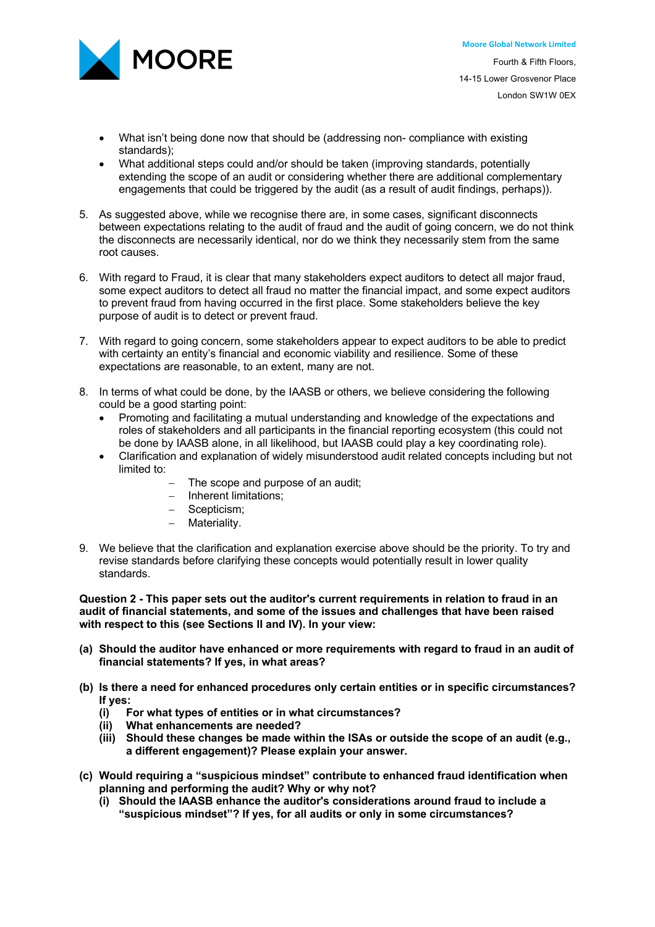

- What isn't being done now that should be (addressing non- compliance with existing standards);
- What additional steps could and/or should be taken (improving standards, potentially extending the scope of an audit or considering whether there are additional complementary engagements that could be triggered by the audit (as a result of audit findings, perhaps)).
- 5. As suggested above, while we recognise there are, in some cases, significant disconnects between expectations relating to the audit of fraud and the audit of going concern, we do not think the disconnects are necessarily identical, nor do we think they necessarily stem from the same root causes.
- 6. With regard to Fraud, it is clear that many stakeholders expect auditors to detect all major fraud, some expect auditors to detect all fraud no matter the financial impact, and some expect auditors to prevent fraud from having occurred in the first place. Some stakeholders believe the key purpose of audit is to detect or prevent fraud.
- 7. With regard to going concern, some stakeholders appear to expect auditors to be able to predict with certainty an entity's financial and economic viability and resilience. Some of these expectations are reasonable, to an extent, many are not.
- 8. In terms of what could be done, by the IAASB or others, we believe considering the following could be a good starting point:
	- Promoting and facilitating a mutual understanding and knowledge of the expectations and roles of stakeholders and all participants in the financial reporting ecosystem (this could not be done by IAASB alone, in all likelihood, but IAASB could play a key coordinating role).
	- Clarification and explanation of widely misunderstood audit related concepts including but not limited to:
		- The scope and purpose of an audit:
		- Inherent limitations;
		- Scepticism;
		- Materiality.
- 9. We believe that the clarification and explanation exercise above should be the priority. To try and revise standards before clarifying these concepts would potentially result in lower quality standards.

**Question 2 - This paper sets out the auditor's current requirements in relation to fraud in an audit of financial statements, and some of the issues and challenges that have been raised with respect to this (see Sections II and IV). In your view:**

- **(a) Should the auditor have enhanced or more requirements with regard to fraud in an audit of financial statements? If yes, in what areas?**
- **(b) Is there a need for enhanced procedures only certain entities or in specific circumstances? If yes:**
	- **(i) For what types of entities or in what circumstances?**
	- **(ii) What enhancements are needed?**
	- **(iii) Should these changes be made within the ISAs or outside the scope of an audit (e.g., a different engagement)? Please explain your answer.**
- **(c) Would requiring a "suspicious mindset" contribute to enhanced fraud identification when planning and performing the audit? Why or why not?**
	- **(i) Should the IAASB enhance the auditor's considerations around fraud to include a "suspicious mindset"? If yes, for all audits or only in some circumstances?**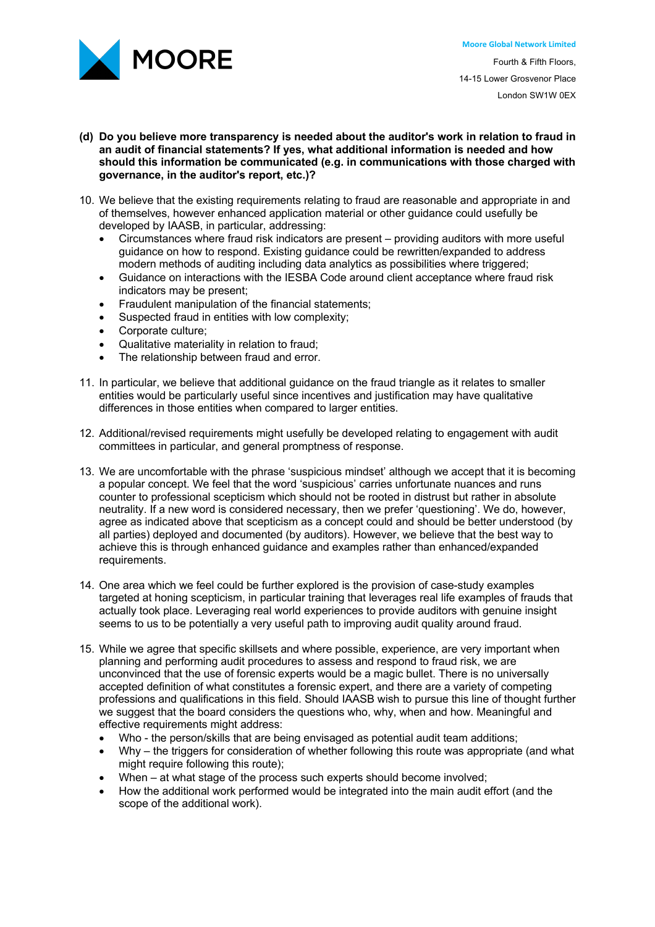

Fourth & Fifth Floors, 14-15 Lower Grosvenor Place London SW1W 0EX

- **(d) Do you believe more transparency is needed about the auditor's work in relation to fraud in an audit of financial statements? If yes, what additional information is needed and how should this information be communicated (e.g. in communications with those charged with governance, in the auditor's report, etc.)?**
- 10. We believe that the existing requirements relating to fraud are reasonable and appropriate in and of themselves, however enhanced application material or other guidance could usefully be developed by IAASB, in particular, addressing:
	- Circumstances where fraud risk indicators are present providing auditors with more useful guidance on how to respond. Existing guidance could be rewritten/expanded to address modern methods of auditing including data analytics as possibilities where triggered;
	- Guidance on interactions with the IESBA Code around client acceptance where fraud risk indicators may be present;
	- Fraudulent manipulation of the financial statements;
	- Suspected fraud in entities with low complexity;
	- Corporate culture;
	- Qualitative materiality in relation to fraud;
	- The relationship between fraud and error.
- 11. In particular, we believe that additional guidance on the fraud triangle as it relates to smaller entities would be particularly useful since incentives and justification may have qualitative differences in those entities when compared to larger entities.
- 12. Additional/revised requirements might usefully be developed relating to engagement with audit committees in particular, and general promptness of response.
- 13. We are uncomfortable with the phrase 'suspicious mindset' although we accept that it is becoming a popular concept. We feel that the word 'suspicious' carries unfortunate nuances and runs counter to professional scepticism which should not be rooted in distrust but rather in absolute neutrality. If a new word is considered necessary, then we prefer 'questioning'. We do, however, agree as indicated above that scepticism as a concept could and should be better understood (by all parties) deployed and documented (by auditors). However, we believe that the best way to achieve this is through enhanced guidance and examples rather than enhanced/expanded requirements.
- 14. One area which we feel could be further explored is the provision of case-study examples targeted at honing scepticism, in particular training that leverages real life examples of frauds that actually took place. Leveraging real world experiences to provide auditors with genuine insight seems to us to be potentially a very useful path to improving audit quality around fraud.
- 15. While we agree that specific skillsets and where possible, experience, are very important when planning and performing audit procedures to assess and respond to fraud risk, we are unconvinced that the use of forensic experts would be a magic bullet. There is no universally accepted definition of what constitutes a forensic expert, and there are a variety of competing professions and qualifications in this field. Should IAASB wish to pursue this line of thought further we suggest that the board considers the questions who, why, when and how. Meaningful and effective requirements might address:
	- Who the person/skills that are being envisaged as potential audit team additions;
	- Why the triggers for consideration of whether following this route was appropriate (and what might require following this route);
	- When at what stage of the process such experts should become involved;
	- How the additional work performed would be integrated into the main audit effort (and the scope of the additional work).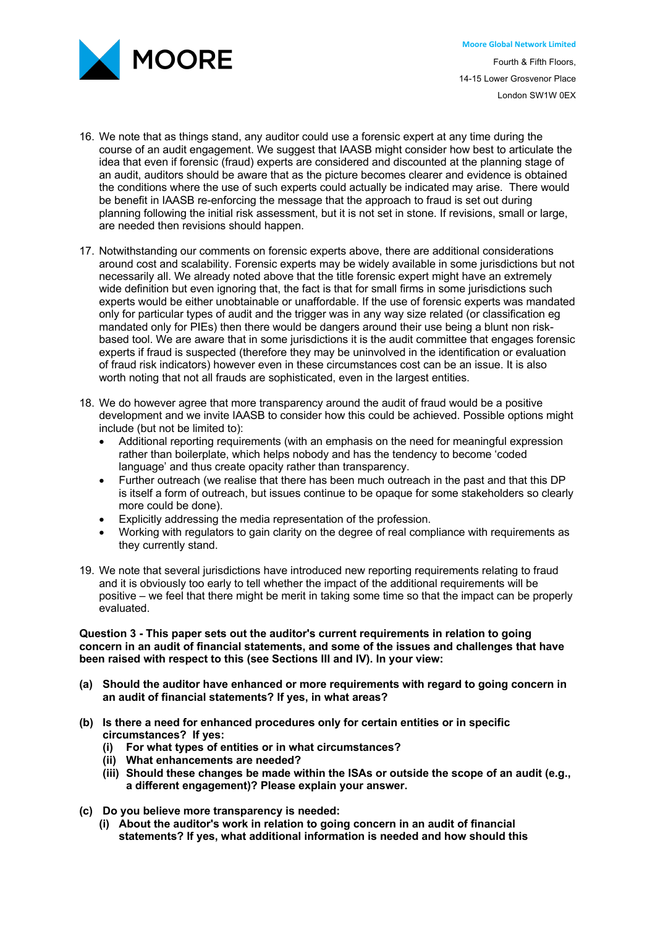

- 16. We note that as things stand, any auditor could use a forensic expert at any time during the course of an audit engagement. We suggest that IAASB might consider how best to articulate the idea that even if forensic (fraud) experts are considered and discounted at the planning stage of an audit, auditors should be aware that as the picture becomes clearer and evidence is obtained the conditions where the use of such experts could actually be indicated may arise. There would be benefit in IAASB re-enforcing the message that the approach to fraud is set out during planning following the initial risk assessment, but it is not set in stone. If revisions, small or large, are needed then revisions should happen.
- 17. Notwithstanding our comments on forensic experts above, there are additional considerations around cost and scalability. Forensic experts may be widely available in some jurisdictions but not necessarily all. We already noted above that the title forensic expert might have an extremely wide definition but even ignoring that, the fact is that for small firms in some jurisdictions such experts would be either unobtainable or unaffordable. If the use of forensic experts was mandated only for particular types of audit and the trigger was in any way size related (or classification eg mandated only for PIEs) then there would be dangers around their use being a blunt non riskbased tool. We are aware that in some jurisdictions it is the audit committee that engages forensic experts if fraud is suspected (therefore they may be uninvolved in the identification or evaluation of fraud risk indicators) however even in these circumstances cost can be an issue. It is also worth noting that not all frauds are sophisticated, even in the largest entities.
- 18. We do however agree that more transparency around the audit of fraud would be a positive development and we invite IAASB to consider how this could be achieved. Possible options might include (but not be limited to):
	- Additional reporting requirements (with an emphasis on the need for meaningful expression rather than boilerplate, which helps nobody and has the tendency to become 'coded language' and thus create opacity rather than transparency.
	- Further outreach (we realise that there has been much outreach in the past and that this DP is itself a form of outreach, but issues continue to be opaque for some stakeholders so clearly more could be done).
	- Explicitly addressing the media representation of the profession.
	- Working with regulators to gain clarity on the degree of real compliance with requirements as they currently stand.
- 19. We note that several jurisdictions have introduced new reporting requirements relating to fraud and it is obviously too early to tell whether the impact of the additional requirements will be positive – we feel that there might be merit in taking some time so that the impact can be properly evaluated.

# **Question 3 - This paper sets out the auditor's current requirements in relation to going concern in an audit of financial statements, and some of the issues and challenges that have been raised with respect to this (see Sections III and IV). In your view:**

- **(a) Should the auditor have enhanced or more requirements with regard to going concern in an audit of financial statements? If yes, in what areas?**
- **(b) Is there a need for enhanced procedures only for certain entities or in specific circumstances? If yes:**
	- **(i) For what types of entities or in what circumstances?**
	- **(ii) What enhancements are needed?**
	- **(iii) Should these changes be made within the ISAs or outside the scope of an audit (e.g., a different engagement)? Please explain your answer.**
- **(c) Do you believe more transparency is needed:**
	- **(i) About the auditor's work in relation to going concern in an audit of financial statements? If yes, what additional information is needed and how should this**